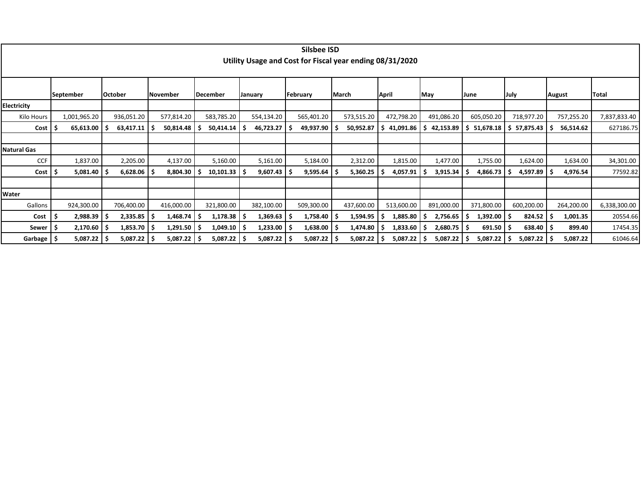|                    |    |              |                 |            |    |                  |    |               | Silsbee ISD<br>Utility Usage and Cost for Fiscal year ending 08/31/2020 |       |            |       |            |               |             |            |      |               |               |              |
|--------------------|----|--------------|-----------------|------------|----|------------------|----|---------------|-------------------------------------------------------------------------|-------|------------|-------|------------|---------------|-------------|------------|------|---------------|---------------|--------------|
|                    |    | September    | October         | November   |    | December         |    | January       | February                                                                | March |            | April |            | May           | <b>June</b> |            | July |               | <b>August</b> | Total        |
| Electricity        |    |              |                 |            |    |                  |    |               |                                                                         |       |            |       |            |               |             |            |      |               |               |              |
| Kilo Hours         |    | 1,001,965.20 | 936,051.20      | 577,814.20 |    | 583,785.20       |    | 554,134.20    | 565,401.20                                                              |       | 573,515.20 |       | 472,798.20 | 491,086.20    |             | 605,050.20 |      | 718,977.20    | 757,255.20    | 7,837,833.40 |
| Cost               |    | 65,613.00    | 63,417.11       | 50,814.48  |    | 50,414.14        |    | 46,723.27     | 49,937.90                                                               |       | 50,952.87  |       | 41,091.86  | 42,153.89     |             | 51,678.18  |      | 57,875.43     | 56,514.62     | 627186.75    |
|                    |    |              |                 |            |    |                  |    |               |                                                                         |       |            |       |            |               |             |            |      |               |               |              |
| <b>Natural Gas</b> |    |              |                 |            |    |                  |    |               |                                                                         |       |            |       |            |               |             |            |      |               |               |              |
| <b>CCF</b>         |    | 1,837.00     | 2,205.00        | 4,137.00   |    | 5,160.00         |    | 5,161.00      | 5,184.00                                                                |       | 2,312.00   |       | 1,815.00   | 1,477.00      |             | 1,755.00   |      | 1,624.00      | 1,634.00      | 34,301.00    |
| Cost               |    | 5,081.40     | $6,628.06$   \$ | 8,804.30   |    | $10,101.33$   \$ |    | 9,607.43      | 9,595.64                                                                |       | 5,360.25   |       | 4,057.91   | 3,915.34      |             | 4,866.73   |      | $4,597.89$ \$ | 4,976.54      | 77592.82     |
|                    |    |              |                 |            |    |                  |    |               |                                                                         |       |            |       |            |               |             |            |      |               |               |              |
| Water              |    |              |                 |            |    |                  |    |               |                                                                         |       |            |       |            |               |             |            |      |               |               |              |
| Gallons            |    | 924,300.00   | 706,400.00      | 416,000.00 |    | 321,800.00       |    | 382,100.00    | 509,300.00                                                              |       | 437,600.00 |       | 513,600.00 | 891,000.00    |             | 371,800.00 |      | 600,200.00    | 264,200.00    | 6,338,300.00 |
| Cost               | -S | 2,988.39     | $2,335.85$ \$   | 1,468.74   | -S | 1,178.38         | ΙS | 1,369.63      | 1,758.40                                                                |       | 1,594.95   |       | 1,885.80   | 2,756.65      |             | 1,392.00   |      | 824.52        | 1,001.35      | 20554.66     |
| Sewer              |    | 2,170.60     | 1,853.70        | 1,291.50   |    | 1,049.10         | ΙS | 1,233.00      | 1,638.00                                                                |       | 1,474.80   |       | 1,833.60   | $2,680.75$ \$ |             | 691.50     |      | $638.40$   \$ | 899.40        | 17454.35     |
| Garbage            |    | 5,087.22     | $5,087.22$   \$ | 5,087.22   |    | $5,087.22$ \$    |    | $5,087.22$ \$ | 5,087.22                                                                |       | 5,087.22   |       | 5,087.22   | 5,087.22      |             | 5,087.22   |      | 5,087.22      | 5,087.22      | 61046.64     |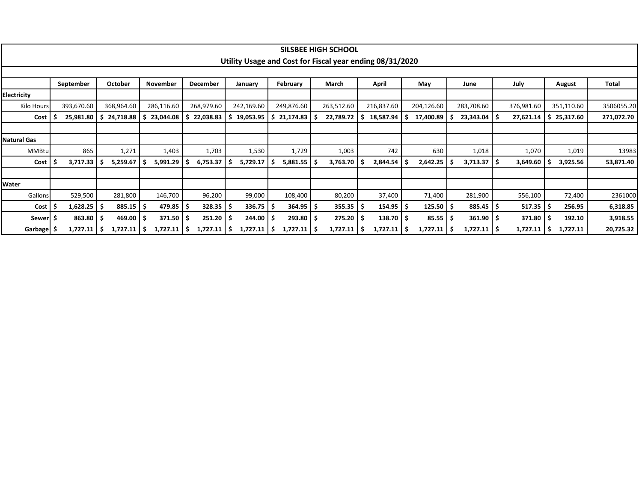|                    |            |    |            |                |     |            |                                                          |   |               | <b>SILSBEE HIGH SCHOOL</b> |   |               |     |            |    |            |     |            |   |            |              |
|--------------------|------------|----|------------|----------------|-----|------------|----------------------------------------------------------|---|---------------|----------------------------|---|---------------|-----|------------|----|------------|-----|------------|---|------------|--------------|
|                    |            |    |            |                |     |            | Utility Usage and Cost for Fiscal year ending 08/31/2020 |   |               |                            |   |               |     |            |    |            |     |            |   |            |              |
|                    |            |    |            |                |     |            |                                                          |   |               |                            |   |               |     |            |    |            |     |            |   |            |              |
|                    | September  |    | October    | November       |     | December   | January                                                  |   | February      | March                      |   | April         |     | May        |    | June       |     | July       |   | August     | <b>Total</b> |
| <b>Electricity</b> |            |    |            |                |     |            |                                                          |   |               |                            |   |               |     |            |    |            |     |            |   |            |              |
| Kilo Hours         | 393,670.60 |    | 368,964.60 | 286,116.60     |     | 268,979.60 | 242,169.60                                               |   | 249,876.60    | 263,512.60                 |   | 216,837.60    |     | 204,126.60 |    | 283,708.60 |     | 376,981.60 |   | 351,110.60 | 3506055.20   |
| Cost               | 25,981.80  | -S | 24,718.88  | 23,044.08      | - 5 | 22,038.83  | 19,053.95                                                | S | 21,174.83     | 22,789.72                  | s | 18,587.94     |     | 17,400.89  |    | 23,343.04  |     | 27,621.14  | S | 25,317.60  | 271,072.70   |
|                    |            |    |            |                |     |            |                                                          |   |               |                            |   |               |     |            |    |            |     |            |   |            |              |
| <b>Natural Gas</b> |            |    |            |                |     |            |                                                          |   |               |                            |   |               |     |            |    |            |     |            |   |            |              |
| <b>MMBtu</b>       | 865        |    | 1,271      | 1,403          |     | 1,703      | 1,530                                                    |   | 1,729         | 1,003                      |   | 742           |     | 630        |    | 1,018      |     | 1,070      |   | 1,019      | 13983        |
| Cost               | 3,717.33   | -5 | 5,259.67   | 5,991.29       |     | 6,753.37   | 5,729.17                                                 |   | 5,881.55      | 3,763.70                   |   | 2,844.54      |     | 2,642.25   |    | 3,713.37   | -S  | 3,649.60   |   | 3,925.56   | 53,871.40    |
|                    |            |    |            |                |     |            |                                                          |   |               |                            |   |               |     |            |    |            |     |            |   |            |              |
| Water              |            |    |            |                |     |            |                                                          |   |               |                            |   |               |     |            |    |            |     |            |   |            |              |
| Gallons            | 529,500    |    | 281,800    | 146,700        |     | 96,200     | 99,000                                                   |   | 108,400       | 80,200                     |   | 37,400        |     | 71,400     |    | 281,900    |     | 556,100    |   | 72,400     | 2361000      |
| Cost               | 1,628.25   | ۱S | 885.15     | $479.85$   \$  |     | 328.35     | 336.75                                                   |   | 364.95        | $355.35$   \$              |   | $154.95$   \$ |     | 125.50     |    | 885.45     | - 5 | 517.35     |   | 256.95     | 6,318.85     |
| Sewer   Ş          | 863.80     |    | 469.00     | 371.50         |     | 251.20     | 244.00                                                   |   | 293.80        | 275.20                     |   | $138.70$   \$ |     | 85.55      | -5 | 361.90     | -S  | 371.80     |   | 192.10     | 3,918.55     |
| Garbage   \$       | 1,727.11   | ۱s | 1,727.11   | 1,727.11<br>۱S | l S | 1,727.11   | 1,727.11                                                 |   | 1,727.11   \$ | 1,727.11                   |   | 1,727.11      | l S | 1,727.11   |    | 1,727.11   | - 5 | 1,727.11   |   | 1,727.11   | 20,725.32    |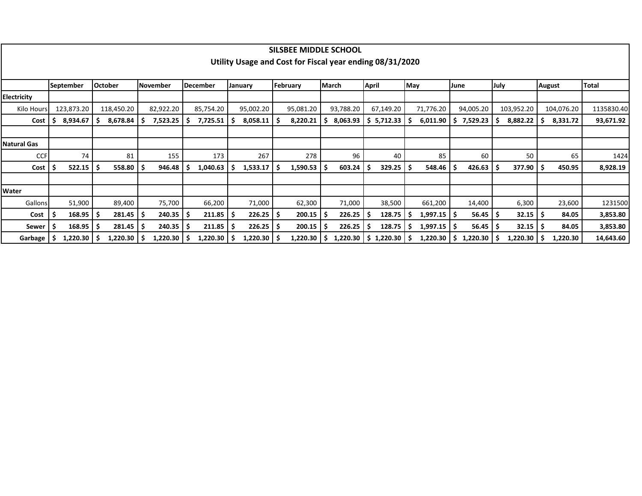|                    |          |                        |                |            |    |           |   |                 |    |                 |    | SILSBEE MIDDLE SCHOOL<br>Utility Usage and Cost for Fiscal year ending 08/31/2020 |     |           |              |                          |     |           |      |                 |      |            |               |            |              |
|--------------------|----------|------------------------|----------------|------------|----|-----------|---|-----------------|----|-----------------|----|-----------------------------------------------------------------------------------|-----|-----------|--------------|--------------------------|-----|-----------|------|-----------------|------|------------|---------------|------------|--------------|
|                    |          |                        |                |            |    |           |   |                 |    |                 |    |                                                                                   |     |           |              |                          |     |           |      |                 |      |            |               |            |              |
|                    |          | <b>September</b>       | <b>October</b> |            |    | November  |   | <b>December</b> |    | January         |    | February                                                                          |     | March     | <b>April</b> |                          | May |           | June |                 | July |            | <b>August</b> |            | <b>Total</b> |
| Electricity        |          |                        |                |            |    |           |   |                 |    |                 |    |                                                                                   |     |           |              |                          |     |           |      |                 |      |            |               |            |              |
| Kilo Hours         |          | 123,873.20             |                | 118,450.20 |    | 82,922.20 |   | 85,754.20       |    | 95,002.20       |    | 95,081.20                                                                         |     | 93,788.20 |              | 67,149.20                |     | 71,776.20 |      | 94,005.20       |      | 103,952.20 |               | 104,076.20 | 1135830.40   |
| Cost               | <b>S</b> | 8,934.67               | ۱s             | 8,678.84   | -5 | 7,523.25  | s | $7,725.51$   \$ |    | 8,058.11        | -S | 8,220.21                                                                          | . S | 8,063.93  |              | \$5,712.33               | -S  | 6,011.90  | Ŝ.   | 7,529.23        |      | 8,882.22   | - 5           | 8,331.72   | 93,671.92    |
|                    |          |                        |                |            |    |           |   |                 |    |                 |    |                                                                                   |     |           |              |                          |     |           |      |                 |      |            |               |            |              |
| <b>Natural Gas</b> |          |                        |                |            |    |           |   |                 |    |                 |    |                                                                                   |     |           |              |                          |     |           |      |                 |      |            |               |            |              |
| <b>CCF</b>         |          | 74                     |                | 81         |    | 155       |   | 173             |    | 267             |    | 278                                                                               |     | 96        |              | 40                       |     | 85        |      | 60              |      | 50         |               | 65         | 1424         |
| Cost               |          | 522.15                 | ۱s             | 558.80     | -S | 946.48    |   | 1,040.63        | -S | 1,533.17        | -S | 1,590.53                                                                          |     | 603.24    |              | 329.25                   | - S | 548.46    |      | 426.63          |      | 377.90     |               | 450.95     | 8,928.19     |
|                    |          |                        |                |            |    |           |   |                 |    |                 |    |                                                                                   |     |           |              |                          |     |           |      |                 |      |            |               |            |              |
| Water              |          |                        |                |            |    |           |   |                 |    |                 |    |                                                                                   |     |           |              |                          |     |           |      |                 |      |            |               |            |              |
| Gallons            |          | 51,900                 |                | 89,400     |    | 75,700    |   | 66,200          |    | 71,000          |    | 62,300                                                                            |     | 71,000    |              | 38,500                   |     | 661,200   |      | 14,400          |      | 6,300      |               | 23,600     | 1231500      |
| Cost               | -5       | 168.95                 | ١S             | 281.45     | Ş  | 240.35    | S | 211.85          | -S | 226.25          | -S | 200.15                                                                            | -S  | 226.25    |              | 128.75                   |     | 1,997.15  |      | 56.45           | l S  | 32.15      | -S            | 84.05      | 3,853.80     |
| Sewer              |          | $168.95$ $\frac{1}{5}$ |                | 281.45     | -S | 240.35    | S | $211.85$   \$   |    | 226.25          | -S | 200.15                                                                            |     | 226.25    |              | 128.75                   | -S  | 1,997.15  |      | $56.45$   \$    |      | 32.15      | -S            | 84.05      | 3,853.80     |
| Garbage            | -S       | $1,220.30$   \$        |                | 1,220.30   | -S | 1,220.30  |   | $1,220.30$   \$ |    | $1,220.30$   \$ |    | 1,220.30                                                                          |     |           |              | $1,220.30$   \$ 1,220.30 |     | 1,220.30  |      | $1,220.30$   \$ |      | 1,220.30   |               | 1,220.30   | 14,643.60    |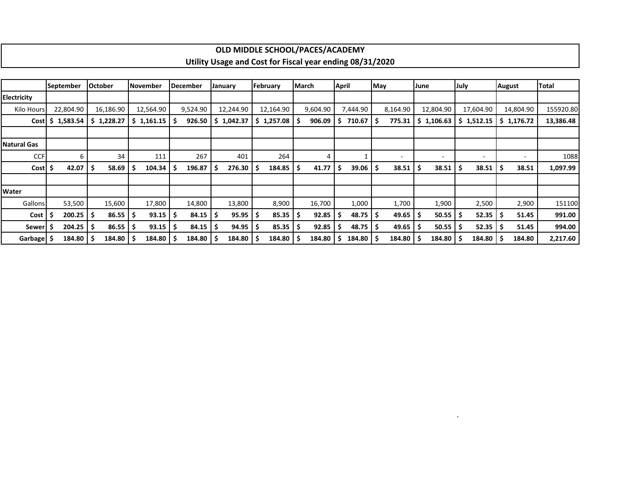|                    |                    |                |                    |                 |                                                          | OLD MIDDLE SCHOOL/PACES/ACADEMIY |             |                             |          |                          |                             |               |           |
|--------------------|--------------------|----------------|--------------------|-----------------|----------------------------------------------------------|----------------------------------|-------------|-----------------------------|----------|--------------------------|-----------------------------|---------------|-----------|
|                    |                    |                |                    |                 | Utility Usage and Cost for Fiscal year ending 08/31/2020 |                                  |             |                             |          |                          |                             |               |           |
|                    |                    |                |                    |                 |                                                          |                                  |             |                             |          |                          |                             |               |           |
|                    | September          | <b>October</b> | <b>November</b>    | <b>December</b> | January                                                  | February                         | March       | April                       | May      | June                     | July                        | <b>August</b> | Total     |
| <b>Electricity</b> |                    |                |                    |                 |                                                          |                                  |             |                             |          |                          |                             |               |           |
| Kilo Hours         | 22,804.90          | 16,186.90      | 12,564.90          | 9,524.90        | 12,244.90                                                | 12,164.90                        | 9,604.90    | 7,444.90                    | 8,164.90 | 12,804.90                | 17,604.90                   | 14,804.90     | 155920.80 |
|                    | $Cost$ \$ 1,583.54 | \$1,228.27     | $$1,161.15$ $$$    | 926.50          | \$1,042.37                                               | $$1,257.08$ $$$                  | 906.09      | $710.67$ $\mid$ \$<br>S     | 775.31   | \$1,106.63               | \$1,512.15                  | \$1,176.72    | 13,386.48 |
|                    |                    |                |                    |                 |                                                          |                                  |             |                             |          |                          |                             |               |           |
| <b>Natural Gas</b> |                    |                |                    |                 |                                                          |                                  |             |                             |          |                          |                             |               |           |
| <b>CCF</b>         | 6                  | 34             | 111                | 267             | 401                                                      | 264                              | 4           |                             |          | $\overline{\phantom{a}}$ | ۰                           |               | 1088      |
| Cost \$            | 42.07              | 58.69          | $104.34$   \$<br>S | 196.87          | 276.30<br>۱s                                             | $184.85$ $\frac{1}{5}$           | 41.77       | $39.06$   \$<br>-S          | 38.51    | 38.51                    | $38.51$ $\frac{1}{2}$<br>-S | 38.51         | 1,097.99  |
|                    |                    |                |                    |                 |                                                          |                                  |             |                             |          |                          |                             |               |           |
| Water              |                    |                |                    |                 |                                                          |                                  |             |                             |          |                          |                             |               |           |
| Gallons            | 53,500             | 15,600         | 17,800             | 14,800          | 13,800                                                   | 8,900                            | 16,700      | 1,000                       | 1,700    | 1,900                    | 2,500                       | 2,900         | 151100    |
| Cost               | 200.25             | 86.55          | $93.15$   \$<br>-S | 84.15           | 95.95<br>-S                                              | $85.35$ $\mid$ \$                | 92.85       | $48.75$ $\frac{1}{5}$<br>-S | 49.65    | $50.55$ $\mid$ \$        | $52.35$ $\frac{1}{5}$       | 51.45         | 991.00    |
| <b>Sewer</b>       | 204.25             | 86.55          | 93.15<br>-S        | 84.15<br>-S     | 94.95<br>Ş                                               | 85.35                            | 92.85<br>۱S | $48.75$ $\frac{1}{5}$       | 49.65    | 50.55                    | 52.35                       | 51.45<br>-S   | 994.00    |
| Garbage   \$       | 184.80             | 184.80         | 184.80 \$          | $184.80$   \$   | 184.80                                                   | $184.80$   \$                    | 184.80      | 184.80 \$<br>-S             | 184.80   | 184.80                   | 184.80                      | 184.80        | 2,217.60  |

.

┑

## **OLD MIDDLE SCHOOL/PACES/ACADEMY**

г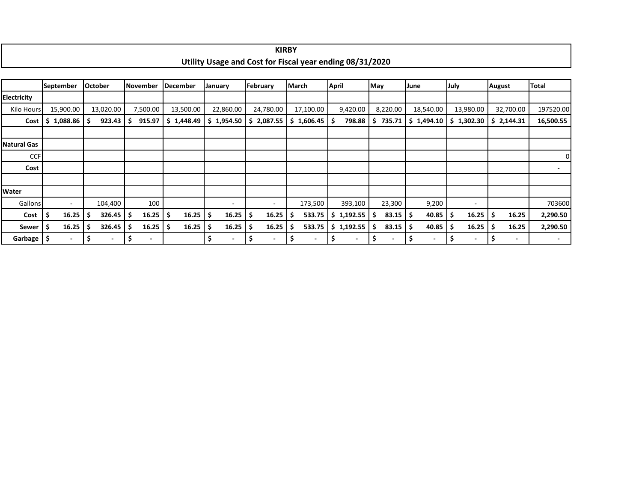|                    |                          |     |                          |    |                 |                 |       |                                                          |          | <b>KIRBY</b> |                                |              |                |     |                          |      |            |      |                          |               |                          |                |
|--------------------|--------------------------|-----|--------------------------|----|-----------------|-----------------|-------|----------------------------------------------------------|----------|--------------|--------------------------------|--------------|----------------|-----|--------------------------|------|------------|------|--------------------------|---------------|--------------------------|----------------|
|                    |                          |     |                          |    |                 |                 |       | Utility Usage and Cost for Fiscal year ending 08/31/2020 |          |              |                                |              |                |     |                          |      |            |      |                          |               |                          |                |
|                    |                          |     |                          |    |                 |                 |       |                                                          |          |              |                                |              |                |     |                          |      |            |      |                          |               |                          |                |
|                    | <b>September</b>         |     | <b>October</b>           |    | <b>November</b> | <b>December</b> |       | January                                                  | February |              | <b>March</b>                   | <b>April</b> |                | May |                          | June |            | July |                          | <b>August</b> |                          | Total          |
| Electricity        |                          |     |                          |    |                 |                 |       |                                                          |          |              |                                |              |                |     |                          |      |            |      |                          |               |                          |                |
| Kilo Hours         | 15,900.00                |     | 13,020.00                |    | 7,500.00        | 13,500.00       |       | 22,860.00                                                |          | 24,780.00    | 17,100.00                      |              | 9,420.00       |     | 8,220.00                 |      | 18,540.00  |      | 13,980.00                |               | 32,700.00                | 197520.00      |
| Cost               | 1,088.86<br>S.           | s   | 923.43                   |    | 915.97          | \$1,448.49      |       | \$1,954.50                                               | S.       | 2,087.55     | $$1,606.45$ $$$                |              | 798.88         | S.  | 735.71                   |      | \$1,494.10 |      | \$1,302.30               |               | \$2,144.31               | 16,500.55      |
|                    |                          |     |                          |    |                 |                 |       |                                                          |          |              |                                |              |                |     |                          |      |            |      |                          |               |                          |                |
| <b>Natural Gas</b> |                          |     |                          |    |                 |                 |       |                                                          |          |              |                                |              |                |     |                          |      |            |      |                          |               |                          |                |
| <b>CCF</b>         |                          |     |                          |    |                 |                 |       |                                                          |          |              |                                |              |                |     |                          |      |            |      |                          |               |                          | $\overline{0}$ |
| Cost               |                          |     |                          |    |                 |                 |       |                                                          |          |              |                                |              |                |     |                          |      |            |      |                          |               |                          |                |
|                    |                          |     |                          |    |                 |                 |       |                                                          |          |              |                                |              |                |     |                          |      |            |      |                          |               |                          |                |
| Water              |                          |     |                          |    |                 |                 |       |                                                          |          |              |                                |              |                |     |                          |      |            |      |                          |               |                          |                |
| Gallons            | $\overline{\phantom{a}}$ |     | 104,400                  |    | 100             |                 |       | $\overline{\phantom{a}}$                                 |          | $\sim$       | 173,500                        |              | 393,100        |     | 23,300                   |      | 9,200      |      | $\overline{\phantom{a}}$ |               |                          | 703600         |
| Cost               | 16.25<br>\$              | s   | 326.45                   | S  | 16.25           | \$.             | 16.25 | \$<br>16.25                                              | -\$      | 16.25        | 533.75                         | \$.          | 1,192.55       | s   | $83.15$ $\frac{1}{5}$    |      | 40.85      | \$   | 16.25                    | -\$           | 16.25                    | 2,290.50       |
| Sewer              | 16.25                    |     | 326.45                   | s  | 16.25           | S               | 16.25 | 16.25<br>-\$                                             | -S       | 16.25        | 533.75                         |              | \$1,192.55     | s   | 83.15                    | . S  | 40.85      | -S   | 16.25                    | - Ś           | 16.25                    | 2,290.50       |
| Garbage            | -\$                      | .\$ | $\overline{\phantom{a}}$ | \$ |                 |                 |       | \$<br>٠                                                  | \$       |              | \$<br>$\overline{\phantom{a}}$ | \$           | $\blacksquare$ | \$  | $\overline{\phantom{a}}$ | \$.  |            | -\$  | $\overline{\phantom{a}}$ | \$            | $\overline{\phantom{a}}$ |                |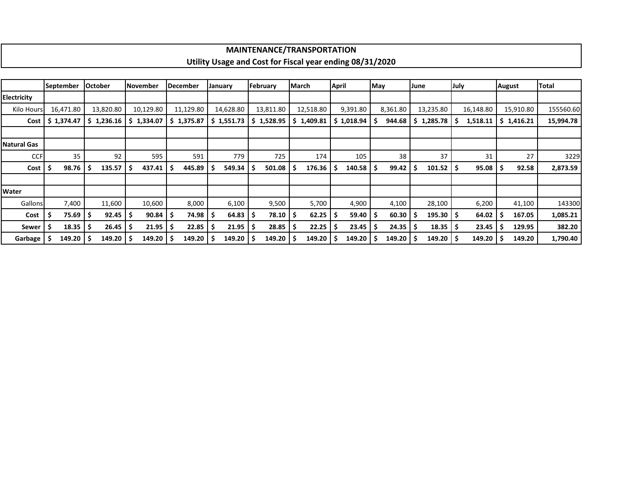|                    | <b>MAINTENANCE/TRANSPORTATION</b><br>Utility Usage and Cost for Fiscal year ending 08/31/2020                                                                                             |     |                |  |           |    |                 |  |           |  |           |  |           |              |                                      |     |              |      |                           |      |           |        |           |              |
|--------------------|-------------------------------------------------------------------------------------------------------------------------------------------------------------------------------------------|-----|----------------|--|-----------|----|-----------------|--|-----------|--|-----------|--|-----------|--------------|--------------------------------------|-----|--------------|------|---------------------------|------|-----------|--------|-----------|--------------|
|                    |                                                                                                                                                                                           |     |                |  |           |    |                 |  |           |  |           |  |           |              |                                      |     |              |      |                           |      |           |        |           |              |
|                    |                                                                                                                                                                                           |     |                |  |           |    |                 |  |           |  |           |  |           |              |                                      |     |              |      |                           |      |           |        |           |              |
|                    | September                                                                                                                                                                                 |     | <b>October</b> |  | November  |    | <b>December</b> |  | January   |  | February  |  | March     | <b>April</b> |                                      | May |              | June |                           | July |           | August |           | <b>Total</b> |
| <b>Electricity</b> |                                                                                                                                                                                           |     |                |  |           |    |                 |  |           |  |           |  |           |              |                                      |     |              |      |                           |      |           |        |           |              |
| <b>Kilo Hours</b>  | 16,471.80                                                                                                                                                                                 |     | 13,820.80      |  | 10,129.80 |    | 11,129.80       |  | 14,628.80 |  | 13,811.80 |  | 12,518.80 |              | 9,391.80                             |     | 8,361.80     |      | 13,235.80                 |      | 16,148.80 |        | 15,910.80 | 155560.60    |
| Cost               | \$1,374.47<br>\$1,236.16<br>\$1,334.07<br>\$1,375.87<br>\$1,551.73<br>1,528.95<br>\$1,409.81<br>$$1,018.94$ \ \$<br>944.68<br>1,285.78<br>15,994.78<br>S.<br>1,518.11<br>\$1,416.21<br>S. |     |                |  |           |    |                 |  |           |  |           |  |           |              |                                      |     |              |      |                           |      |           |        |           |              |
|                    |                                                                                                                                                                                           |     |                |  |           |    |                 |  |           |  |           |  |           |              |                                      |     |              |      |                           |      |           |        |           |              |
| <b>Natural Gas</b> |                                                                                                                                                                                           |     |                |  |           |    |                 |  |           |  |           |  |           |              |                                      |     |              |      |                           |      |           |        |           |              |
| <b>CCF</b>         | 35                                                                                                                                                                                        |     | 92             |  | 595       |    | 591             |  | 779       |  | 725       |  | 174       |              | 105                                  |     | 38           |      | 37                        |      | 31        |        | 27        | 3229         |
| Cost               | 98.76                                                                                                                                                                                     | -\$ | 135.57         |  | 437.41    | -S | 445.89          |  | 549.34    |  | 501.08    |  | 176.36    |              | $140.58$ $\overline{\phantom{1}}$ \$ |     | 99.42        | -\$  | $101.52$   \$             |      | 95.08     |        | 92.58     | 2,873.59     |
|                    |                                                                                                                                                                                           |     |                |  |           |    |                 |  |           |  |           |  |           |              |                                      |     |              |      |                           |      |           |        |           |              |
| Water              |                                                                                                                                                                                           |     |                |  |           |    |                 |  |           |  |           |  |           |              |                                      |     |              |      |                           |      |           |        |           |              |
| Gallons            | 7,400                                                                                                                                                                                     |     | 11,600         |  | 10,600    |    | 8,000           |  | 6,100     |  | 9,500     |  | 5,700     |              | 4,900                                |     | 4,100        |      | 28,100                    |      | 6,200     |        | 41,100    | 143300       |
| Cost               | 75.69                                                                                                                                                                                     | -S  | $92.45$   \$   |  | 90.84     | -S | 74.98           |  | 64.83     |  | 78.10     |  | 62.25     |              | $59.40$   \$                         |     | $60.30$   \$ |      | $195.30 \mid \frac{1}{2}$ |      | 64.02     |        | 167.05    | 1,085.21     |
| Sewer              | 18.35                                                                                                                                                                                     | -\$ | $26.45$   \$   |  | 21.95     | S  | 22.85           |  | 21.95     |  | 28.85     |  | 22.25     |              | $23.45$   \$                         |     | 24.35        | -\$  | 18.35                     |      | 23.45     |        | 129.95    | 382.20       |
| Garbage            | 149.20                                                                                                                                                                                    | - Ś | $149.20$   \$  |  | 149.20    | -S | 149.20          |  | 149.20    |  | 149.20    |  | 149.20    |              | 149.20                               |     | 149.20       |      | $149.20$   \$             |      | 149.20    |        | 149.20    | 1,790.40     |

÷.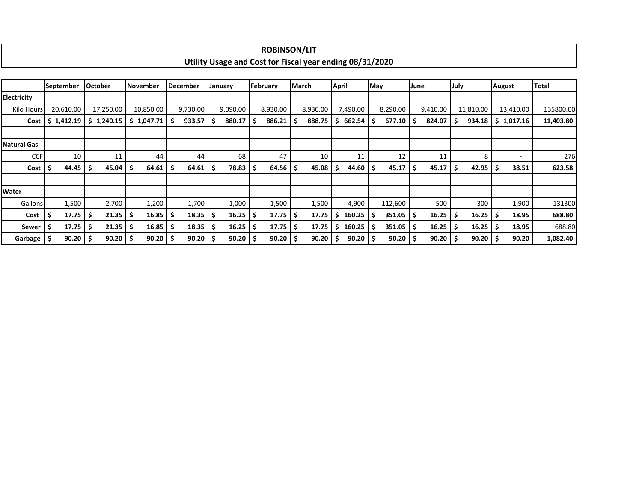|                    |                    |   |                |     |            |     |                 |     |          |    | <b>ROBINSON/LIT</b> |     |                                                          |              |          |      |              |      |          |      |           |     |               |              |
|--------------------|--------------------|---|----------------|-----|------------|-----|-----------------|-----|----------|----|---------------------|-----|----------------------------------------------------------|--------------|----------|------|--------------|------|----------|------|-----------|-----|---------------|--------------|
|                    |                    |   |                |     |            |     |                 |     |          |    |                     |     | Utility Usage and Cost for Fiscal year ending 08/31/2020 |              |          |      |              |      |          |      |           |     |               |              |
|                    |                    |   |                |     |            |     |                 |     |          |    |                     |     |                                                          |              |          |      |              |      |          |      |           |     |               |              |
|                    | <b>September</b>   |   | <b>October</b> |     | November   |     | <b>December</b> |     | January  |    | February            |     | <b>March</b>                                             | <b>April</b> |          | May  |              | June |          | July |           |     | <b>August</b> | <b>Total</b> |
| <b>Electricity</b> |                    |   |                |     |            |     |                 |     |          |    |                     |     |                                                          |              |          |      |              |      |          |      |           |     |               |              |
| Kilo Hours         | 20,610.00          |   | 17,250.00      |     | 10,850.00  |     | 9,730.00        |     | 9,090.00 |    | 8,930.00            |     | 8,930.00                                                 |              | 7,490.00 |      | 8,290.00     |      | 9,410.00 |      | 11,810.00 |     | 13,410.00     | 135800.00    |
| Cost               | \$1,412.19         |   | \$1,240.15     |     | \$1,047.71 | -Ś  | 933.57          | .\$ | 880.17   | S  | 886.21              |     | 888.75                                                   | S            | 662.54   |      | 677.10       |      | 824.07   | s    | 934.18    |     | \$1,017.16    | 11,403.80    |
|                    |                    |   |                |     |            |     |                 |     |          |    |                     |     |                                                          |              |          |      |              |      |          |      |           |     |               |              |
| <b>Natural Gas</b> |                    |   |                |     |            |     |                 |     |          |    |                     |     |                                                          |              |          |      |              |      |          |      |           |     |               |              |
| <b>CCF</b>         | 10                 |   | 11             |     | 44         |     | 44              |     | 68       |    | 47                  |     | 10                                                       |              | 11       |      | 12           |      | 11       |      | 8         |     | ۰             | 276          |
| Cost               | \$<br>44.45        | S | 45.04          | S   | 64.61      | \$  | 64.61           | .\$ | 78.83    | S  | 64.56               | -\$ | 45.08                                                    | S            | 44.60    | -\$  | 45.17        | -S   | 45.17    | \$.  | 42.95     | -\$ | 38.51         | 623.58       |
|                    |                    |   |                |     |            |     |                 |     |          |    |                     |     |                                                          |              |          |      |              |      |          |      |           |     |               |              |
| Water              |                    |   |                |     |            |     |                 |     |          |    |                     |     |                                                          |              |          |      |              |      |          |      |           |     |               |              |
| Gallons            | 1,500              |   | 2,700          |     | 1,200      |     | 1,700           |     | 1,000    |    | 1,500               |     | 1,500                                                    |              | 4,900    |      | 112,600      |      | 500      |      | 300       |     | 1,900         | 131300       |
| Cost               | \$<br>17.75        |   | 21.35          | -S  | 16.85      | -\$ | 18.35           |     | 16.25    | -S | 17.75               | -\$ | 17.75                                                    | Ŝ            | 160.25   | -S   | 351.05       |      | 16.25    | S    | 16.25     | -\$ | 18.95         | 688.80       |
| Sewer              | \$<br>$17.75$   \$ |   | 21.35          | S   | 16.85      | \$  | $18.35$   \$    |     | 16.25    | S  | 17.75               | -S  | 17.75                                                    | \$           | 160.25   | - \$ | 351.05       | -S   | 16.25    | S    | 16.25     | -\$ | 18.95         | 688.80       |
| Garbage \$         | $90.20$   \$       |   | 90.20          | I S | 90.20      | -\$ | $90.20$   \$    |     | 90.20    | ۱s | 90.20               | .\$ | 90.20                                                    |              | 90.20    | ۱\$  | $90.20$   \$ |      | 90.20    | -\$  | 90.20     | -Ś  | 90.20         | 1,082.40     |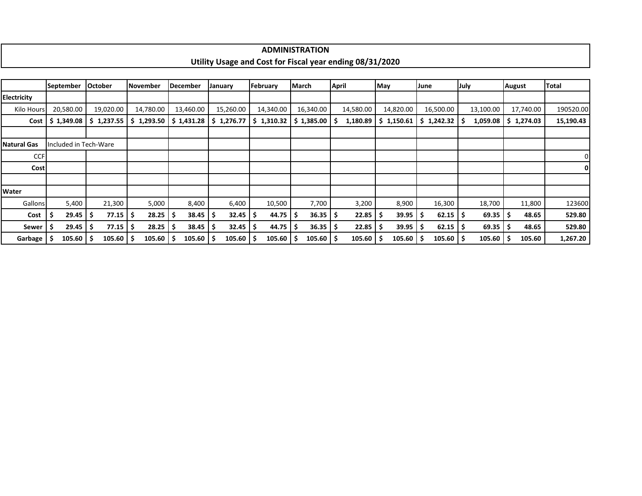|                    |                       |                |               |                             |            |                     | <b>ADMINISTRATION</b> |                                                          |                     |                       |           |               |              |
|--------------------|-----------------------|----------------|---------------|-----------------------------|------------|---------------------|-----------------------|----------------------------------------------------------|---------------------|-----------------------|-----------|---------------|--------------|
|                    |                       |                |               |                             |            |                     |                       | Utility Usage and Cost for Fiscal year ending 08/31/2020 |                     |                       |           |               |              |
|                    |                       |                |               |                             |            |                     |                       |                                                          |                     |                       |           |               |              |
|                    | September             | <b>October</b> | November      | <b>December</b>             | January    | February            | March                 | April                                                    | May                 | June                  | July      | <b>August</b> | <b>Total</b> |
| <b>Electricity</b> |                       |                |               |                             |            |                     |                       |                                                          |                     |                       |           |               |              |
| Kilo Hours         | 20,580.00             | 19,020.00      | 14,780.00     | 13,460.00                   | 15,260.00  | 14,340.00           | 16,340.00             | 14,580.00                                                | 14,820.00           | 16,500.00             | 13,100.00 | 17,740.00     | 190520.00    |
| Cost               | \$1,349.08            | \$1,237.55     |               | $$1,293.50 \mid $1,431.28$$ | \$1,276.77 | \$1,310.32          | $$1,385.00$ $$$       | 1,180.89                                                 | \$1,150.61          | $$1,242.32$ $$$       | 1,059.08  | \$1,274.03    | 15,190.43    |
|                    |                       |                |               |                             |            |                     |                       |                                                          |                     |                       |           |               |              |
| <b>Natural Gas</b> | Included in Tech-Ware |                |               |                             |            |                     |                       |                                                          |                     |                       |           |               |              |
| <b>CCF</b>         |                       |                |               |                             |            |                     |                       |                                                          |                     |                       |           |               |              |
| Cost               |                       |                |               |                             |            |                     |                       |                                                          |                     |                       |           |               | $\mathbf{0}$ |
|                    |                       |                |               |                             |            |                     |                       |                                                          |                     |                       |           |               |              |
| Water              |                       |                |               |                             |            |                     |                       |                                                          |                     |                       |           |               |              |
| Gallons            | 5,400                 | 21,300         | 5,000         | 8,400                       | 6,400      | 10,500              | 7,700                 | 3,200                                                    | 8,900               | 16,300                | 18,700    | 11,800        | 123600       |
| Cost               | 29.45<br>-S           | 77.15          | 28.25<br>-\$  | 38.45                       | 32.45<br>S | \$<br>44.75         | $36.35$   \$<br>-S    | 22.85                                                    | 39.95<br>-S         | $62.15$   \$<br>-S    | 69.35     | 48.65<br>-S   | 529.80       |
| Sewer              | 29.45                 | 77.15<br>-S    | 28.25<br>\$ ا | 38.45                       | 32.45<br>s | -\$<br>44.75        | $36.35$   \$          | 22.85                                                    | $39.95$   \$<br>-\$ | $62.15$ $\frac{1}{2}$ | 69.35     | 48.65         | 529.80       |
| Garbage            | 105.60                | $105.60$   \$  | 105.60        | $105.60$   \$               | 105.60     | $105.60$   \$<br>-S | $105.60$   \$         | 105.60                                                   | $105.60$   \$<br>-S | $105.60$   \$         | 105.60    | 105.60        | 1,267.20     |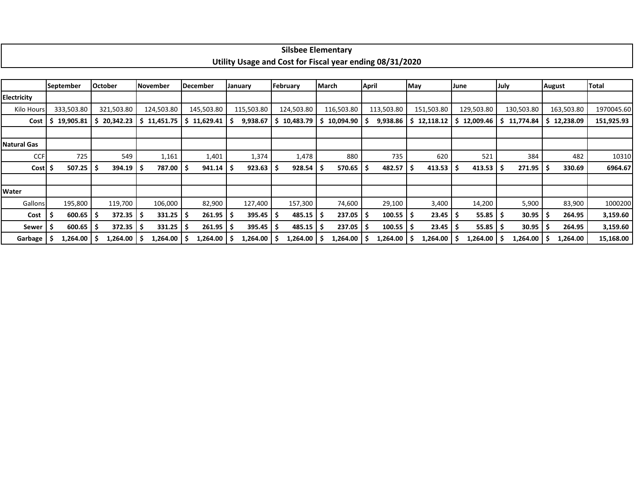|                    |                  |                               |                 |                  |                     |                                                          | <b>Silsbee Elementary</b> |                    |                 |                 |                 |               |            |
|--------------------|------------------|-------------------------------|-----------------|------------------|---------------------|----------------------------------------------------------|---------------------------|--------------------|-----------------|-----------------|-----------------|---------------|------------|
|                    |                  |                               |                 |                  |                     | Utility Usage and Cost for Fiscal year ending 08/31/2020 |                           |                    |                 |                 |                 |               |            |
|                    |                  |                               |                 |                  |                     |                                                          |                           |                    |                 |                 |                 |               |            |
|                    | <b>September</b> | <b>October</b>                | November        | <b>December</b>  | January             | February                                                 | March                     | <b>April</b>       | May             | June            | July            | <b>August</b> | Total      |
| <b>Electricity</b> |                  |                               |                 |                  |                     |                                                          |                           |                    |                 |                 |                 |               |            |
| Kilo Hours         | 333,503.80       | 321,503.80                    | 124,503.80      | 145,503.80       | 115,503.80          | 124,503.80                                               | 116,503.80                | 113,503.80         | 151,503.80      | 129,503.80      | 130,503.80      | 163,503.80    | 1970045.60 |
| Cost               | 19,905.81<br>S.  | 20,342.23<br>-S               | 11,451.75       | 11,629.41<br>l S | 9,938.67<br>-S      | 10,483.79<br>S                                           | 10,094.90<br>-S           | 9,938.86           | 12,118.12       | 12,009.46<br>-S | 11,774.84<br>S. | \$12,238.09   | 151,925.93 |
|                    |                  |                               |                 |                  |                     |                                                          |                           |                    |                 |                 |                 |               |            |
| <b>Natural Gas</b> |                  |                               |                 |                  |                     |                                                          |                           |                    |                 |                 |                 |               |            |
| <b>CCF</b>         | 725              | 549                           | 1,161           | 1,401            | 1,374               | 1,478                                                    | 880                       | 735                | 620             | 521             | 384             | 482           | 10310      |
| <b>Cost</b>        | 507.25           | $394.19$   \$<br>-S           | 787.00          | 941.14           | $923.63$   \$<br>-S | 928.54                                                   | 570.65                    | 482.57<br>\$.      | $413.53$ \$     | 413.53          | 271.95<br>-S    | 330.69        | 6964.67    |
|                    |                  |                               |                 |                  |                     |                                                          |                           |                    |                 |                 |                 |               |            |
| Water              |                  |                               |                 |                  |                     |                                                          |                           |                    |                 |                 |                 |               |            |
| Gallons            | 195,800          | 119,700                       | 106,000         | 82,900           | 127,400             | 157,300                                                  | 74,600                    | 29,100             | 3,400           | 14,200          | 5,900           | 83,900        | 1000200    |
| Cost               | 600.65           | $372.35$ $\frac{1}{5}$<br>- S | 331.25          | 261.95           | $395.45$ \$<br>-S   | 485.15                                                   | 237.05                    | $100.55$   \$      | $23.45$   \$    | 55.85           | 30.95<br>-S     | 264.95        | 3,159.60   |
| Sewer              | $600.65$   \$    | $372.35$ \$                   | 331.25          | $261.95$ \$      | $395.45$ \$         | $485.15$   \$                                            | 237.05                    | $100.55$   \$<br>S | 23.45           | 55.85           | 30.95           | 264.95        | 3,159.60   |
| Garbage   \$       | $1,264.00$   \$  | 1,264.00 S                    | $1,264.00$   \$ | 1,264.00 \$      | 1,264.00            | $1,264.00$   \$                                          | $1,264.00$   \$           | 1,264.00           | $1,264.00$   \$ | $1,264.00$   \$ | 1,264.00        | 1,264.00      | 15,168.00  |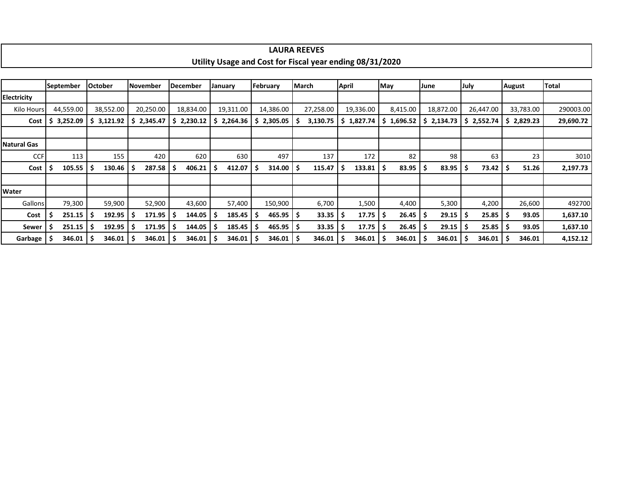|                    |                                                                                                                                                                                                                                                                                                                                       |                |        |    |          |  |                 |     |         |     | <b>LAURA REEVES</b>    |  |                                                          |              |                     |     |        |      |        |      |        |        |        |          |
|--------------------|---------------------------------------------------------------------------------------------------------------------------------------------------------------------------------------------------------------------------------------------------------------------------------------------------------------------------------------|----------------|--------|----|----------|--|-----------------|-----|---------|-----|------------------------|--|----------------------------------------------------------|--------------|---------------------|-----|--------|------|--------|------|--------|--------|--------|----------|
|                    |                                                                                                                                                                                                                                                                                                                                       |                |        |    |          |  |                 |     |         |     |                        |  | Utility Usage and Cost for Fiscal year ending 08/31/2020 |              |                     |     |        |      |        |      |        |        |        |          |
|                    |                                                                                                                                                                                                                                                                                                                                       |                |        |    |          |  |                 |     |         |     |                        |  |                                                          |              |                     |     |        |      |        |      |        |        |        |          |
|                    | <b>September</b>                                                                                                                                                                                                                                                                                                                      | <b>October</b> |        |    | November |  | <b>December</b> |     | January |     | February               |  | March                                                    | <b>April</b> |                     | May |        | June |        | July |        | August |        | Total    |
| Electricity        |                                                                                                                                                                                                                                                                                                                                       |                |        |    |          |  |                 |     |         |     |                        |  |                                                          |              |                     |     |        |      |        |      |        |        |        |          |
| Kilo Hours         | 38,552.00<br>20,250.00<br>8,415.00<br>18,872.00<br>33,783.00<br>44,559.00<br>18,834.00<br>19,311.00<br>14,386.00<br>27,258.00<br>19,336.00<br>26,447.00<br>\$2,230.12<br>\$2,829.23<br>3,252.09<br>\$3,121.92<br>\$2,345.47<br>2,264.36<br>2,305.05<br>3,130.75<br>\$1,827.74<br>\$1,696.52<br>\$2,134.73<br>\$2,552.74<br>Cost<br>S. |                |        |    |          |  |                 |     |         |     |                        |  |                                                          |              | 290003.00           |     |        |      |        |      |        |        |        |          |
|                    |                                                                                                                                                                                                                                                                                                                                       |                |        |    |          |  |                 |     |         |     |                        |  |                                                          |              |                     |     |        |      |        |      |        |        |        |          |
|                    | 29,690.72                                                                                                                                                                                                                                                                                                                             |                |        |    |          |  |                 |     |         |     |                        |  |                                                          |              |                     |     |        |      |        |      |        |        |        |          |
| <b>Natural Gas</b> |                                                                                                                                                                                                                                                                                                                                       |                |        |    |          |  |                 |     |         |     |                        |  |                                                          |              |                     |     |        |      |        |      |        |        |        |          |
| <b>CCF</b>         | 113                                                                                                                                                                                                                                                                                                                                   |                | 155    |    | 420      |  | 620             |     | 630     |     | 497                    |  | 137                                                      |              | 172                 |     | 82     |      | 98     |      | 63     |        | 23     | 3010     |
| Cost               | 105.55                                                                                                                                                                                                                                                                                                                                | S              | 130.46 | -S | 287.58   |  | 406.21          | .\$ | 412.07  |     | $314.00$   \$          |  | 115.47                                                   | -\$          | $133.81 \mid \zeta$ |     | 83.95  | -S   | 83.95  |      | 73.42  |        | 51.26  | 2,197.73 |
|                    |                                                                                                                                                                                                                                                                                                                                       |                |        |    |          |  |                 |     |         |     |                        |  |                                                          |              |                     |     |        |      |        |      |        |        |        |          |
| Water              |                                                                                                                                                                                                                                                                                                                                       |                |        |    |          |  |                 |     |         |     |                        |  |                                                          |              |                     |     |        |      |        |      |        |        |        |          |
| Gallons            | 79,300                                                                                                                                                                                                                                                                                                                                |                | 59,900 |    | 52,900   |  | 43,600          |     | 57,400  |     | 150,900                |  | 6,700                                                    |              | 1,500               |     | 4,400  |      | 5,300  |      | 4,200  |        | 26,600 | 492700   |
| Cost               | 251.15                                                                                                                                                                                                                                                                                                                                | ۱S             | 192.95 | Ş  | 171.95   |  | 144.05          | S   | 185.45  |     | $465.95$ \$            |  | 33.35                                                    | - Ş          | $17.75$   \$        |     | 26.45  |      | 29.15  |      | 25.85  |        | 93.05  | 1,637.10 |
| Sewer              | 251.15                                                                                                                                                                                                                                                                                                                                | Ŝ              | 192.95 | -S | 171.95   |  | 144.05          | Ŝ   | 185.45  | l S | $465.95$ $\frac{1}{5}$ |  | 33.35                                                    | -\$          | $17.75$ $\pm$       |     | 26.45  |      | 29.15  |      | 25.85  |        | 93.05  | 1,637.10 |
| Garbage            | 346.01                                                                                                                                                                                                                                                                                                                                |                | 346.01 | -S | 346.01   |  | 346.01          | -\$ | 346.01  |     | $346.01$ $\vert$ \$    |  | 346.01                                                   | -\$          | 346.01              |     | 346.01 |      | 346.01 |      | 346.01 |        | 346.01 | 4,152.12 |